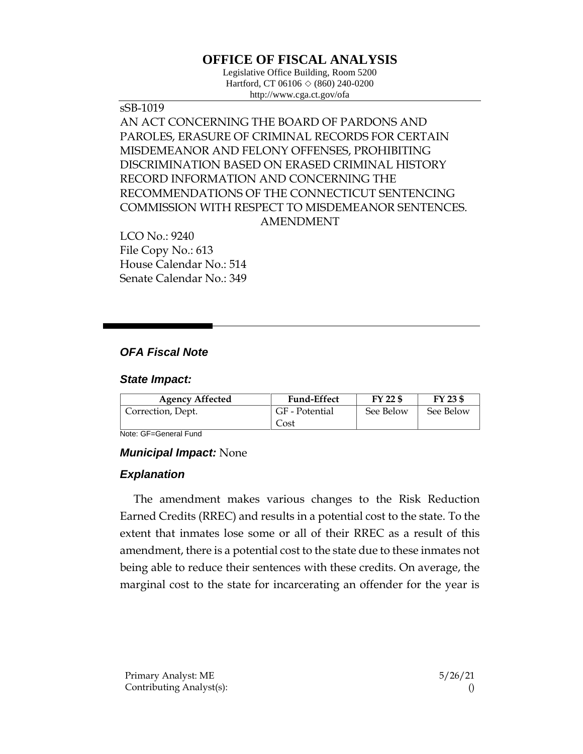# **OFFICE OF FISCAL ANALYSIS**

Legislative Office Building, Room 5200 Hartford, CT 06106  $\Diamond$  (860) 240-0200 http://www.cga.ct.gov/ofa

sSB-1019 AN ACT CONCERNING THE BOARD OF PARDONS AND PAROLES, ERASURE OF CRIMINAL RECORDS FOR CERTAIN MISDEMEANOR AND FELONY OFFENSES, PROHIBITING DISCRIMINATION BASED ON ERASED CRIMINAL HISTORY RECORD INFORMATION AND CONCERNING THE RECOMMENDATIONS OF THE CONNECTICUT SENTENCING COMMISSION WITH RESPECT TO MISDEMEANOR SENTENCES. AMENDMENT

LCO No.: 9240 File Copy No.: 613 House Calendar No.: 514 Senate Calendar No.: 349

## *OFA Fiscal Note*

#### *State Impact:*

| <b>Agency Affected</b> | <b>Fund-Effect</b> | FY 22 \$  | FY 23 \$  |
|------------------------|--------------------|-----------|-----------|
| Correction, Dept.      | GF - Potential     | See Below | See Below |
|                        | Cost               |           |           |

Note: GF=General Fund

### *Municipal Impact:* None

### *Explanation*

The amendment makes various changes to the Risk Reduction Earned Credits (RREC) and results in a potential cost to the state. To the extent that inmates lose some or all of their RREC as a result of this amendment, there is a potential cost to the state due to these inmates not being able to reduce their sentences with these credits. On average, the marginal cost to the state for incarcerating an offender for the year is